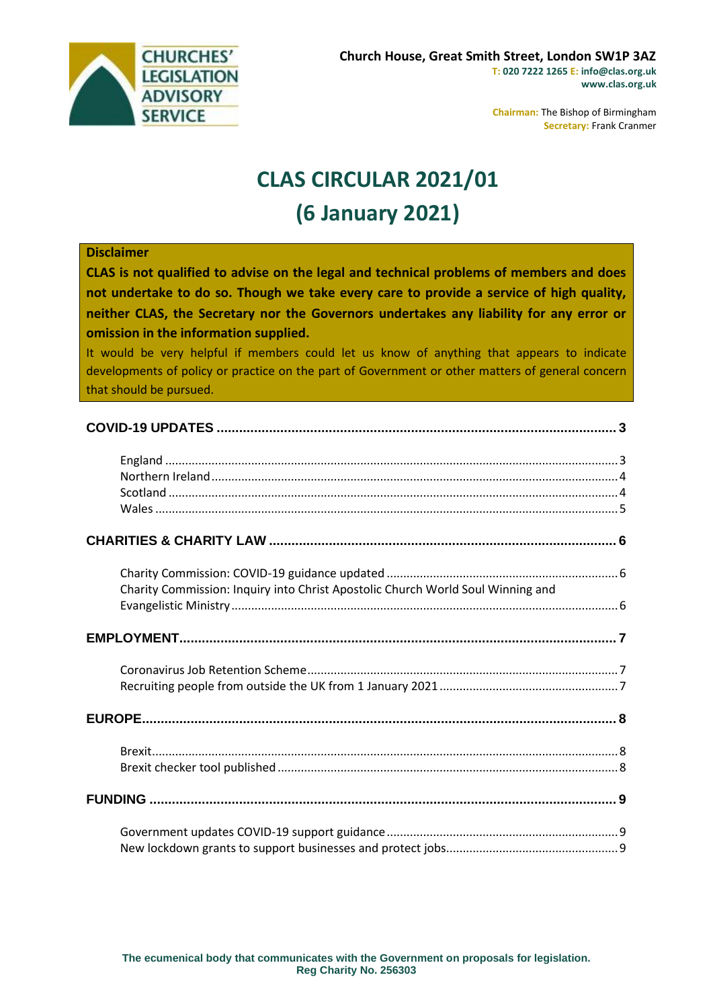

**Chairman:** The Bishop of Birmingham **Secretary:** Frank Cranmer

# **CLAS CIRCULAR 2021/01 (6 January 2021)**

#### **Disclaimer**

**CLAS is not qualified to advise on the legal and technical problems of members and does not undertake to do so. Though we take every care to provide a service of high quality, neither CLAS, the Secretary nor the Governors undertakes any liability for any error or omission in the information supplied.**

It would be very helpful if members could let us know of anything that appears to indicate developments of policy or practice on the part of Government or other matters of general concern that should be pursued.

| Charity Commission: Inquiry into Christ Apostolic Church World Soul Winning and |  |
|---------------------------------------------------------------------------------|--|
|                                                                                 |  |
|                                                                                 |  |
|                                                                                 |  |
|                                                                                 |  |
|                                                                                 |  |
|                                                                                 |  |
|                                                                                 |  |
|                                                                                 |  |
|                                                                                 |  |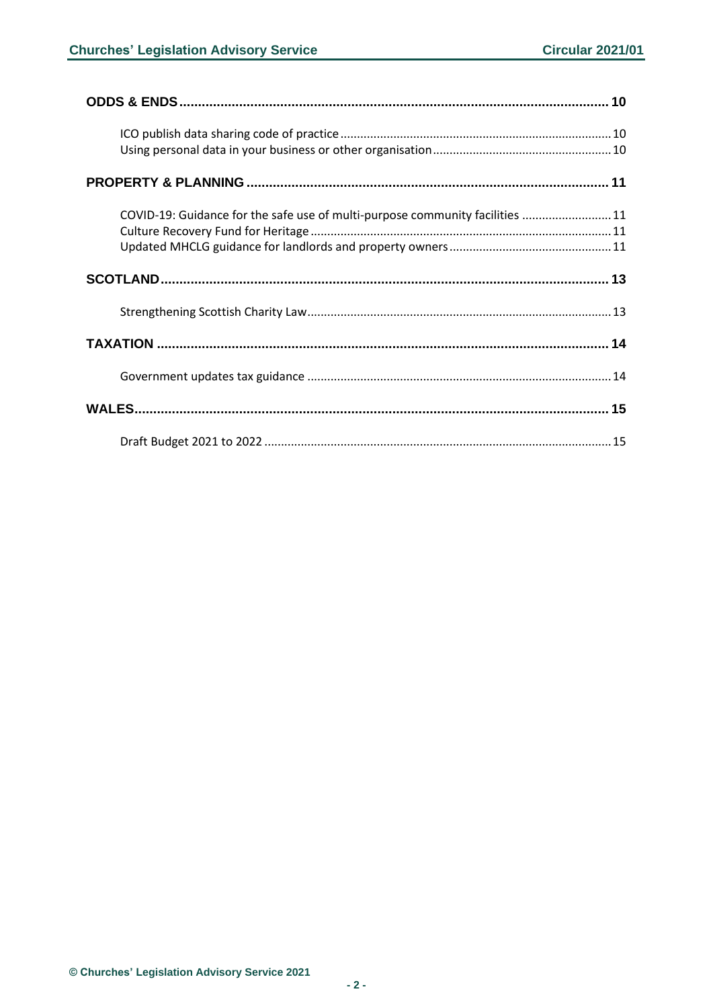| COVID-19: Guidance for the safe use of multi-purpose community facilities  11 |  |
|-------------------------------------------------------------------------------|--|
|                                                                               |  |
|                                                                               |  |
|                                                                               |  |
|                                                                               |  |
|                                                                               |  |
|                                                                               |  |
|                                                                               |  |
|                                                                               |  |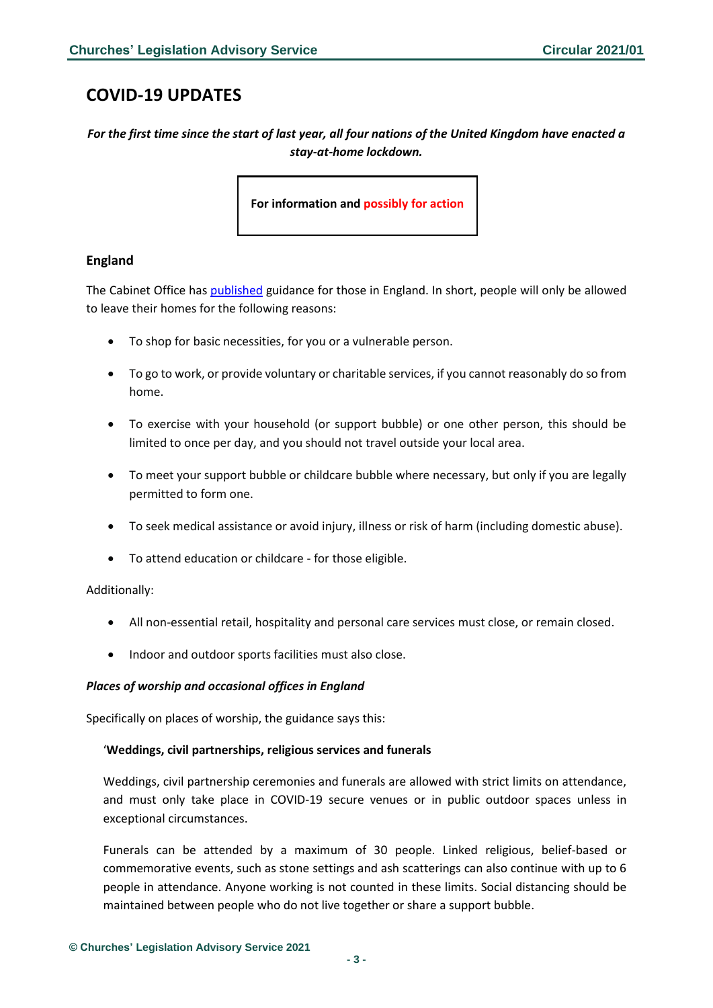# <span id="page-2-0"></span>**COVID-19 UPDATES**

*For the first time since the start of last year, all four nations of the United Kingdom have enacted a stay-at-home lockdown.*

**For information and possibly for action**

# <span id="page-2-1"></span>**England**

The Cabinet Office ha[s published](https://www.gov.uk/guidance/national-lockdown-stay-at-home) guidance for those in England. In short, people will only be allowed to leave their homes for the following reasons:

- To shop for basic necessities, for you or a vulnerable person.
- To go to work, or provide voluntary or charitable services, if you cannot reasonably do so from home.
- To exercise with your household (or support bubble) or one other person, this should be limited to once per day, and you should not travel outside your local area.
- To meet your support bubble or childcare bubble where necessary, but only if you are legally permitted to form one.
- To seek medical assistance or avoid injury, illness or risk of harm (including domestic abuse).
- To attend education or childcare for those eligible.

#### Additionally:

- All non-essential retail, hospitality and personal care services must close, or remain closed.
- Indoor and outdoor sports facilities must also close.

#### *Places of worship and occasional offices in England*

Specifically on places of worship, the guidance says this:

#### '**Weddings, civil partnerships, religious services and funerals**

Weddings, civil partnership ceremonies and funerals are allowed with strict limits on attendance, and must only take place in COVID-19 secure venues or in public outdoor spaces unless in exceptional circumstances.

Funerals can be attended by a maximum of 30 people. Linked religious, belief-based or commemorative events, such as stone settings and ash scatterings can also continue with up to 6 people in attendance. Anyone working is not counted in these limits. Social distancing should be maintained between people who do not live together or share a support bubble.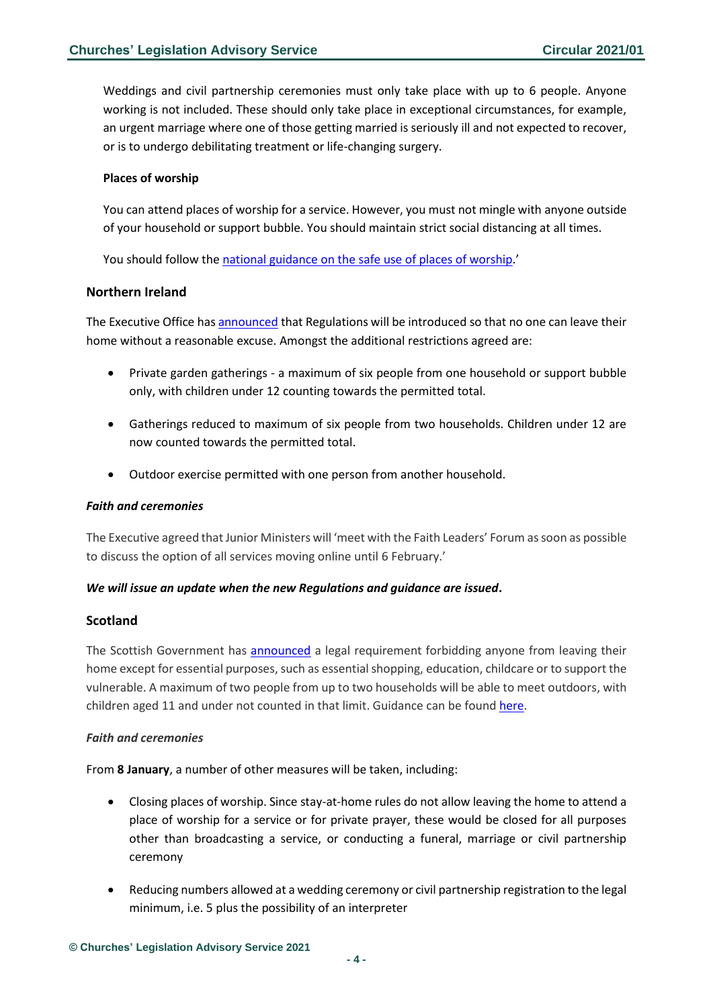Weddings and civil partnership ceremonies must only take place with up to 6 people. Anyone working is not included. These should only take place in exceptional circumstances, for example, an urgent marriage where one of those getting married is seriously ill and not expected to recover, or is to undergo debilitating treatment or life-changing surgery.

#### **Places of worship**

You can attend places of worship for a service. However, you must not mingle with anyone outside of your household or support bubble. You should maintain strict social distancing at all times.

You should follow the [national guidance on the safe use of places of worship.](https://www.gov.uk/government/publications/covid-19-guidance-for-the-safe-use-of-places-of-worship-during-the-pandemic-from-4-july)'

### <span id="page-3-0"></span>**Northern Ireland**

The Executive Office ha[s announced](https://www.executiveoffice-ni.gov.uk/news/executive-statement-additional-restrictions) that Regulations will be introduced so that no one can leave their home without a reasonable excuse. Amongst the additional restrictions agreed are:

- Private garden gatherings a maximum of six people from one household or support bubble only, with children under 12 counting towards the permitted total.
- Gatherings reduced to maximum of six people from two households. Children under 12 are now counted towards the permitted total.
- Outdoor exercise permitted with one person from another household.

#### *Faith and ceremonies*

The Executive agreed that Junior Ministers will 'meet with the Faith Leaders' Forum as soon as possible to discuss the option of all services moving online until 6 February.'

#### *We will issue an update when the new Regulations and guidance are issued***.**

#### <span id="page-3-1"></span>**Scotland**

The Scottish Government has [announced](https://www.gov.scot/news/scotland-in-lockdown/) a legal requirement forbidding anyone from leaving their home except for essential purposes, such as essential shopping, education, childcare or to support the vulnerable. A maximum of two people from up to two households will be able to meet outdoors, with children aged 11 and under not counted in that limit. Guidance can be found [here.](https://www.gov.scot/publications/coronavirus-covid-19-stay-at-home-guidance/)

#### *Faith and ceremonies*

From **8 January**, a number of other measures will be taken, including:

- Closing places of worship. Since stay-at-home rules do not allow leaving the home to attend a place of worship for a service or for private prayer, these would be closed for all purposes other than broadcasting a service, or conducting a funeral, marriage or civil partnership ceremony
- Reducing numbers allowed at a wedding ceremony or civil partnership registration to the legal minimum, i.e. 5 plus the possibility of an interpreter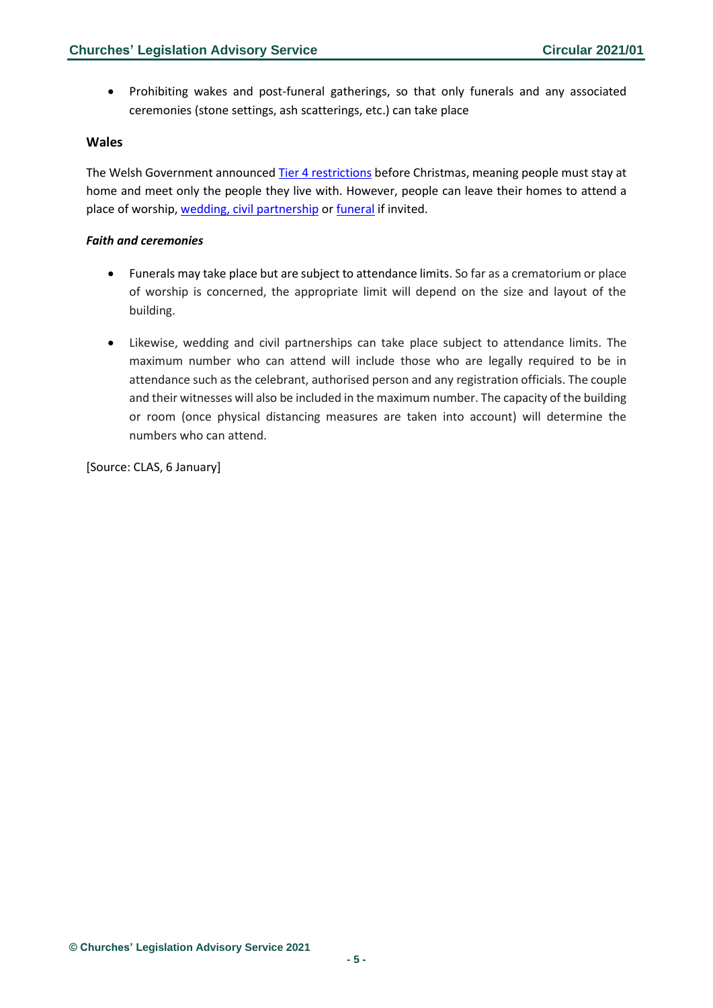• Prohibiting wakes and post-funeral gatherings, so that only funerals and any associated ceremonies (stone settings, ash scatterings, etc.) can take place

### <span id="page-4-0"></span>**Wales**

The Welsh Government announce[d Tier 4 restrictions](https://gov.wales/alert-level-4) before Christmas, meaning people must stay at home and meet only the people they live with. However, people can leave their homes to attend a place of worship, [wedding, civil partnership](https://gov.wales/guidance-marriages-and-civil-partnerships-coronavirus-html) or [funeral](https://gov.wales/guidance-funerals-covid-19) if invited.

#### *Faith and ceremonies*

- Funerals may take place but are subject to attendance limits. So far as a crematorium or place of worship is concerned, the appropriate limit will depend on the size and layout of the building.
- Likewise, wedding and civil partnerships can take place subject to attendance limits. The maximum number who can attend will include those who are legally required to be in attendance such as the celebrant, authorised person and any registration officials. The couple and their witnesses will also be included in the maximum number. The capacity of the building or room (once physical distancing measures are taken into account) will determine the numbers who can attend.

[Source: CLAS, 6 January]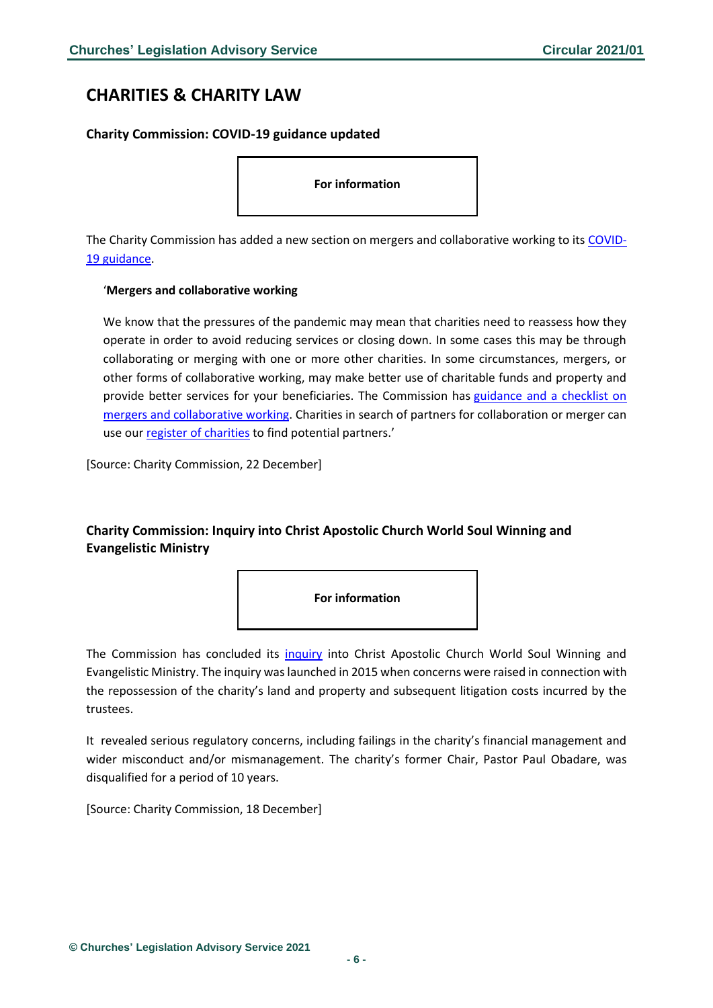# <span id="page-5-0"></span>**CHARITIES & CHARITY LAW**

# <span id="page-5-1"></span>**Charity Commission: COVID-19 guidance updated**

**For information**

The Charity Commission has added a new section on mergers and collaborative working to its [COVID-](https://www.gov.uk/guidance/coronavirus-covid-19-guidance-for-the-charity-sector#mergers-and-collaborative-working)[19 guidance.](https://www.gov.uk/guidance/coronavirus-covid-19-guidance-for-the-charity-sector#mergers-and-collaborative-working)

#### '**Mergers and collaborative working**

We know that the pressures of the pandemic may mean that charities need to reassess how they operate in order to avoid reducing services or closing down. In some cases this may be through collaborating or merging with one or more other charities. In some circumstances, mergers, or other forms of collaborative working, may make better use of charitable funds and property and provide better services for your beneficiaries. The Commission has [guidance and a checklist on](https://www.gov.uk/guidance/how-to-merge-charities)  [mergers and collaborative working.](https://www.gov.uk/guidance/how-to-merge-charities) Charities in search of partners for collaboration or merger can use our [register of charities](https://register-of-charities.charitycommission.gov.uk/) to find potential partners.'

[Source: Charity Commission, 22 December]

# <span id="page-5-2"></span>**Charity Commission: Inquiry into Christ Apostolic Church World Soul Winning and Evangelistic Ministry**



The Commission has concluded its [inquiry](https://www.gov.uk/government/news/former-chair-of-charity-disqualified-after-failures-resulted-in-loss-of-property) into Christ Apostolic Church World Soul Winning and Evangelistic Ministry. The inquiry was launched in 2015 when concerns were raised in connection with the repossession of the charity's land and property and subsequent litigation costs incurred by the trustees.

It revealed serious regulatory concerns, including failings in the charity's financial management and wider misconduct and/or mismanagement. The charity's former Chair, Pastor Paul Obadare, was disqualified for a period of 10 years.

[Source: Charity Commission, 18 December]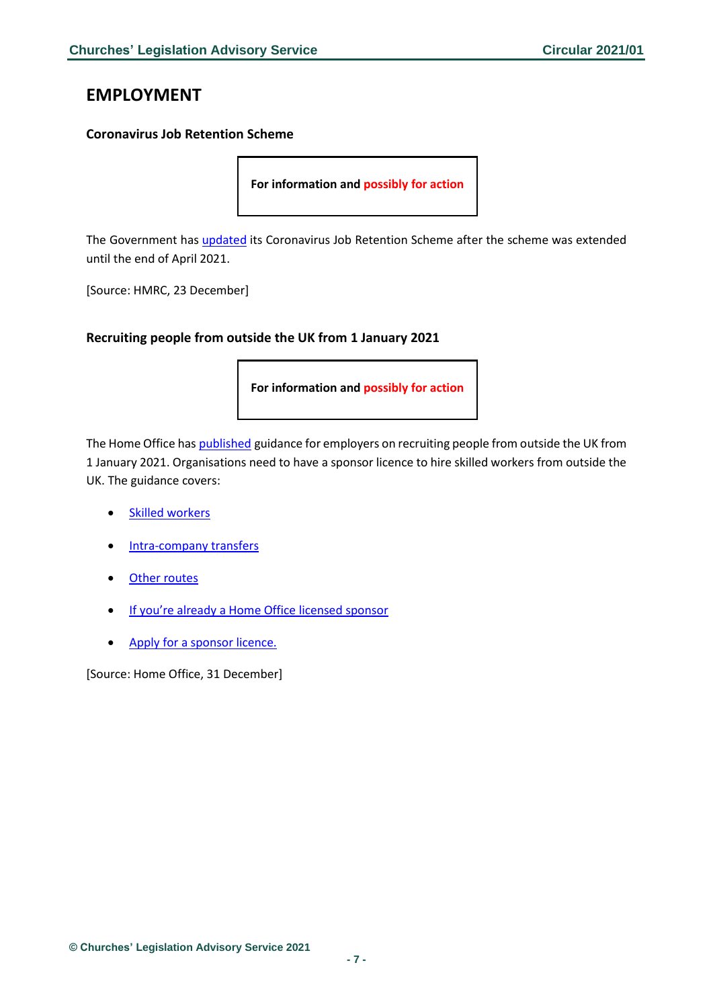# <span id="page-6-0"></span>**EMPLOYMENT**

### <span id="page-6-1"></span>**Coronavirus Job Retention Scheme**

**For information and possibly for action**

The Government has *[updated](https://assets.publishing.service.gov.uk/government/uploads/system/uploads/attachment_data/file/947841/Coronavirus_Job_Retention_Scheme_step_by_step_guide_for_employers.pdf)* its Coronavirus Job Retention Scheme after the scheme was extended until the end of April 2021.

[Source: HMRC, 23 December]

### <span id="page-6-2"></span>**Recruiting people from outside the UK from 1 January 2021**

**For information and possibly for action**

The Home Office has [published](https://www.gov.uk/guidance/recruiting-people-from-outside-the-uk?utm_source=0604510a-ec44-4ef1-a8c6-829ff89d64b4&utm_medium=email&utm_campaign=govuk-notifications&utm_content=daily) guidance for employers on recruiting people from outside the UK from 1 January 2021. Organisations need to have a sponsor licence to hire skilled workers from outside the UK. The guidance covers:

- [Skilled workers](https://www.gov.uk/guidance/recruiting-people-from-outside-the-uk?utm_source=0604510a-ec44-4ef1-a8c6-829ff89d64b4&utm_medium=email&utm_campaign=govuk-notifications&utm_content=daily#skilled-workers)
- [Intra-company transfers](https://www.gov.uk/guidance/recruiting-people-from-outside-the-uk?utm_source=0604510a-ec44-4ef1-a8c6-829ff89d64b4&utm_medium=email&utm_campaign=govuk-notifications&utm_content=daily#intra-company-transfers)
- [Other routes](https://www.gov.uk/guidance/recruiting-people-from-outside-the-uk?utm_source=0604510a-ec44-4ef1-a8c6-829ff89d64b4&utm_medium=email&utm_campaign=govuk-notifications&utm_content=daily#other-routes)
- [If you're already a Home Office license](https://www.gov.uk/guidance/recruiting-people-from-outside-the-uk?utm_source=0604510a-ec44-4ef1-a8c6-829ff89d64b4&utm_medium=email&utm_campaign=govuk-notifications&utm_content=daily#if-youre-already-a-home-office-licensed-sponsor)d sponsor
- [Apply for a sponsor licence.](https://www.gov.uk/guidance/recruiting-people-from-outside-the-uk?utm_source=0604510a-ec44-4ef1-a8c6-829ff89d64b4&utm_medium=email&utm_campaign=govuk-notifications&utm_content=daily#apply-for-a-sponsor-licence)

[Source: Home Office, 31 December]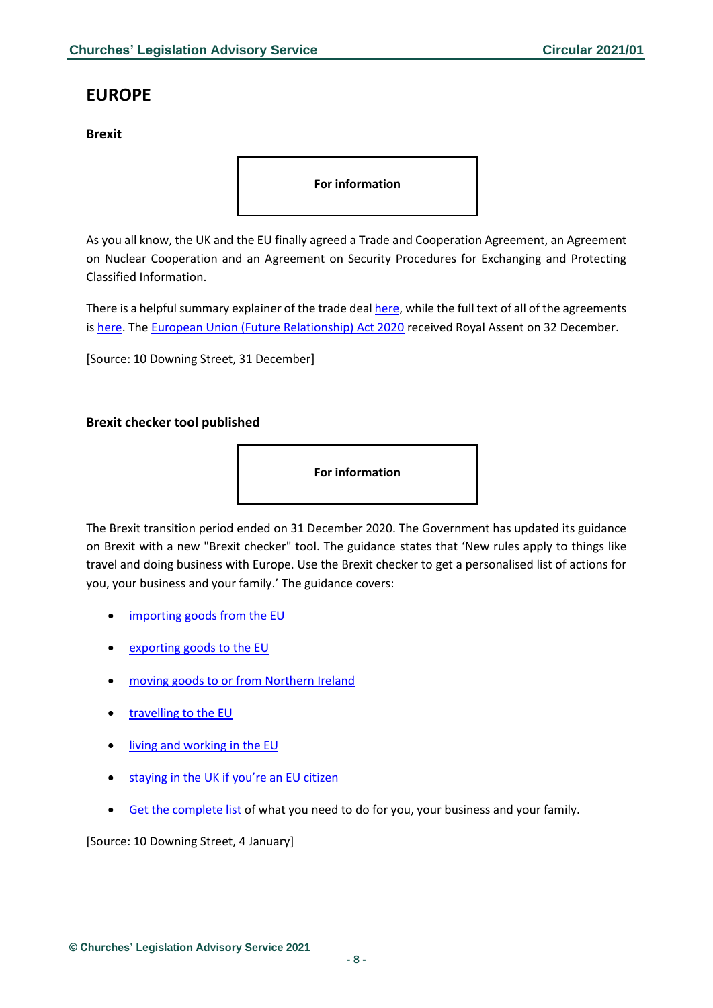# <span id="page-7-0"></span>**EUROPE**

<span id="page-7-1"></span>**Brexit**

**For information**

As you all know, the UK and the EU finally agreed a Trade and Cooperation Agreement, an Agreement on Nuclear Cooperation and an Agreement on Security Procedures for Exchanging and Protecting Classified Information.

There is a helpful summary explainer of the trade deal [here,](https://assets.publishing.service.gov.uk/government/uploads/system/uploads/attachment_data/file/948093/TCA_SUMMARY_PDF.pdf) while the full text of all of the agreements is [here.](https://www.gov.uk/government/publications/agreements-reached-between-the-united-kingdom-of-great-britain-and-northern-ireland-and-the-european-union) The [European Union \(Future Relationship\) Act 2020](https://www.legislation.gov.uk/ukpga/2020/29/contents/enacted) received Royal Assent on 32 December.

[Source: 10 Downing Street, 31 December]

# <span id="page-7-2"></span>**Brexit checker tool published**



The Brexit transition period ended on 31 December 2020. The Government has updated its guidance on Brexit with a new "Brexit checker" tool. The guidance states that 'New rules apply to things like travel and doing business with Europe. Use the Brexit checker to get a personalised list of actions for you, your business and your family.' The guidance covers:

- [importing goods from the EU](https://www.gov.uk/prepare-to-import-to-great-britain-from-january-2021)
- [exporting goods to the EU](https://www.gov.uk/prepare-to-export-from-great-britain-from-january-2021)
- [moving goods to or from Northern Ireland](https://www.gov.uk/guidance/moving-goods-into-out-of-or-through-northern-ireland-from-1-january-2021)
- [travelling to the EU](https://www.gov.uk/visit-europe-1-january-2021)
- [living and working in the EU](https://www.gov.uk/uk-nationals-living-eu)
- [staying in the UK if you're an EU citizen](https://www.gov.uk/staying-uk-eu-citizen)
- [Get the complete list](https://www.gov.uk/transition-check/questions) of what you need to do for you, your business and your family.

[Source: 10 Downing Street, 4 January]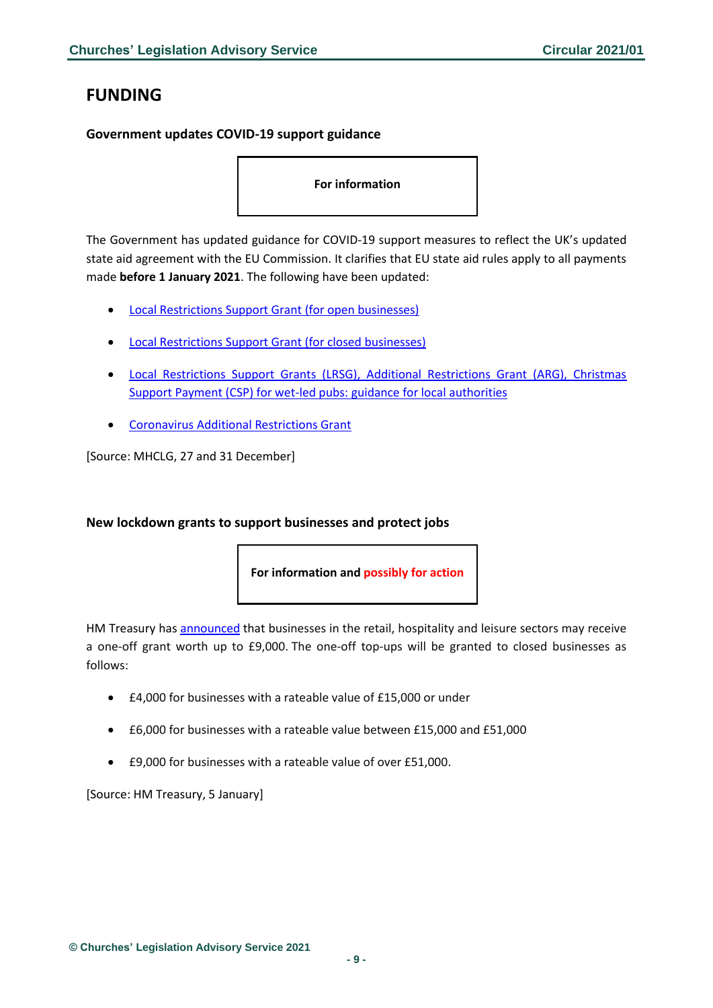# <span id="page-8-0"></span>**FUNDING**

# <span id="page-8-1"></span>**Government updates COVID-19 support guidance**

**For information**

The Government has updated guidance for COVID-19 support measures to reflect the UK's updated state aid agreement with the EU Commission. It clarifies that EU state aid rules apply to all payments made **before 1 January 2021**. The following have been updated:

- [Local Restrictions Support Grant](https://www.gov.uk/guidance/check-if-youre-eligible-for-the-coronavirus-local-restrictions-support-grant-for-open-businesses?utm_source=abe6c796-ef5b-4d7c-ae48-c5fb01e636d3&utm_medium=email&utm_campaign=govuk-notifications&utm_content=daily#history) (for open businesses)
- [Local Restrictions Support Grant \(for closed businesses\)](https://www.gov.uk/guidance/check-if-youre-eligible-for-the-coronavirus-local-restrictions-support-grant-for-closed-businesses?utm_source=383bc460-a905-4b4f-a177-c19816353b92&utm_medium=email&utm_campaign=govuk-notifications&utm_content=daily)
- [Local Restrictions Support Grants \(LRSG\), Additional Restrictions Grant \(ARG\), Christmas](https://www.gov.uk/government/publications/local-restrictions-support-grants-lrsg-and-additional-restrictions-grant-arg-guidance-for-local-authorities?utm_source=39895477-7541-4b65-b3b8-458243277626&utm_medium=email&utm_campaign=govuk-notifications&utm_content=daily)  [Support Payment \(CSP\) for wet-led pubs: guidance for local authorities](https://www.gov.uk/government/publications/local-restrictions-support-grants-lrsg-and-additional-restrictions-grant-arg-guidance-for-local-authorities?utm_source=39895477-7541-4b65-b3b8-458243277626&utm_medium=email&utm_campaign=govuk-notifications&utm_content=daily)
- [Coronavirus Additional Restrictions Grant](https://www.gov.uk/guidance/check-if-youre-eligible-for-the-coronavirus-additional-restrictions-grant?utm_source=26333f8d-7756-4212-88ca-de6e8439cb2b&utm_medium=email&utm_campaign=govuk-notifications&utm_content=daily#history)

[Source: MHCLG, 27 and 31 December]

# <span id="page-8-2"></span>**New lockdown grants to support businesses and protect jobs**

**For information and possibly for action**

HM Treasury has [announced](https://www.gov.uk/government/news/46-billion-in-new-lockdown-grants-to-support-businesses-and-protect-jobs) that businesses in the retail, hospitality and leisure sectors may receive a one-off grant worth up to £9,000. The one-off top-ups will be granted to closed businesses as follows:

- £4,000 for businesses with a rateable value of £15,000 or under
- £6,000 for businesses with a rateable value between £15,000 and £51,000
- £9,000 for businesses with a rateable value of over £51,000.

[Source: HM Treasury, 5 January]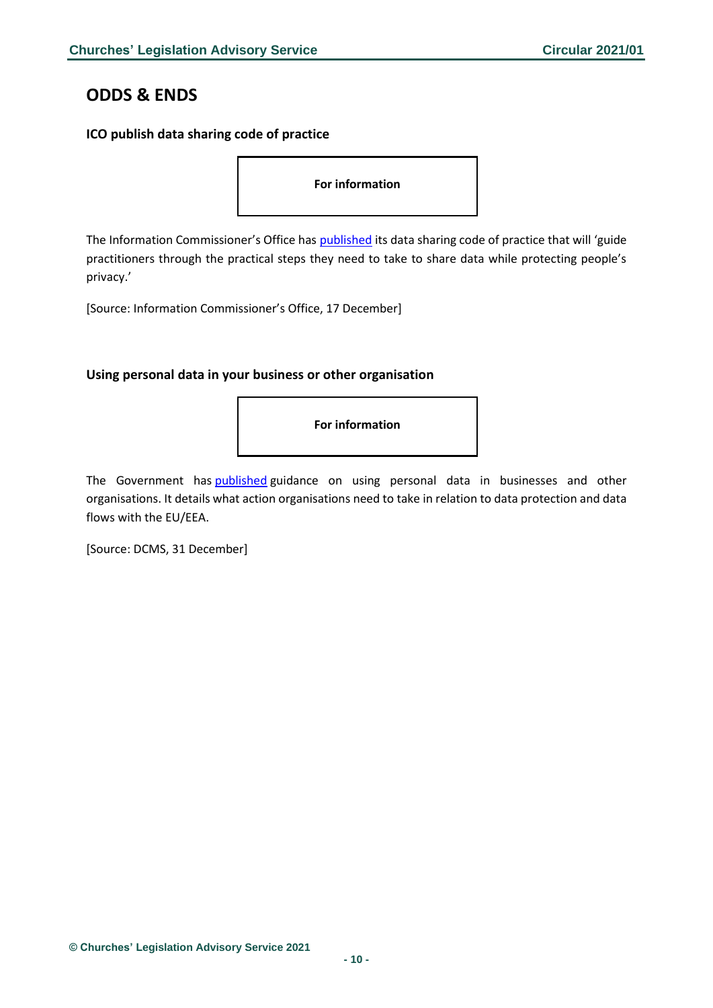# <span id="page-9-0"></span>**ODDS & ENDS**

# <span id="page-9-1"></span>**ICO publish data sharing code of practice**

**For information**

The Information Commissioner's Office has **[published](https://ico.org.uk/for-organisations/data-sharing-a-code-of-practice/)** its data sharing code of practice that will 'guide practitioners through the practical steps they need to take to share data while protecting people's privacy.'

[Source: Information Commissioner's Office, 17 December]

# <span id="page-9-2"></span>**Using personal data in your business or other organisation**

**For information**

The Government has [published](https://www.gov.uk/guidance/using-personal-data-in-your-business-or-other-organisation) guidance on using personal data in businesses and other organisations. It details what action organisations need to take in relation to data protection and data flows with the EU/EEA.

[Source: DCMS, 31 December]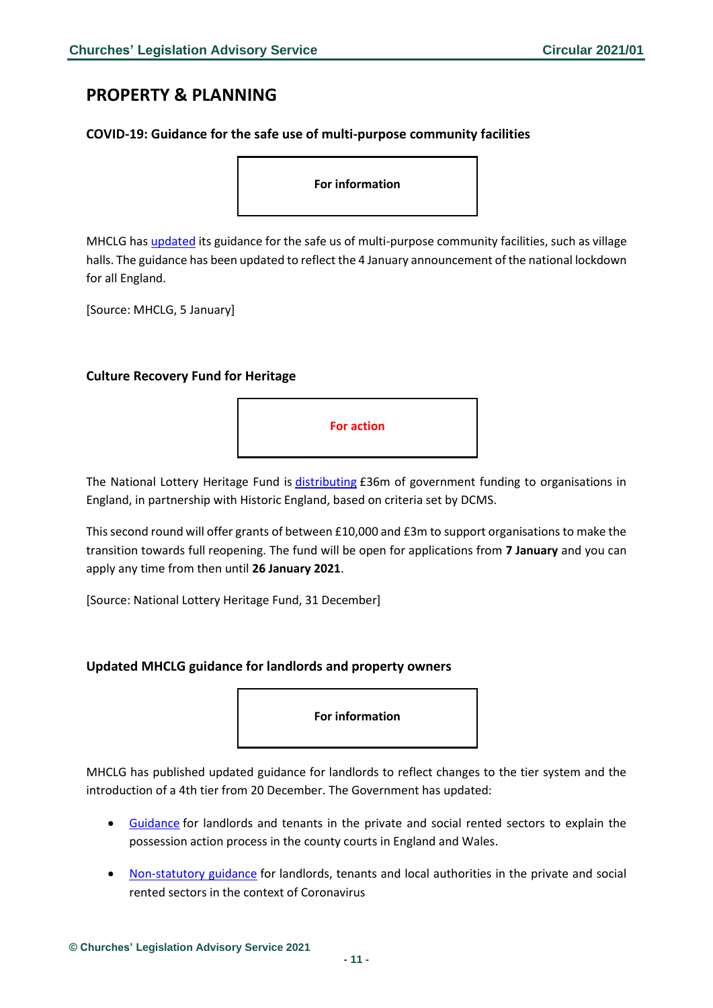# <span id="page-10-0"></span>**PROPERTY & PLANNING**

### <span id="page-10-1"></span>**COVID-19: Guidance for the safe use of multi-purpose community facilities**

**For information**

MHCLG has [updated](https://www.gov.uk/government/publications/covid-19-guidance-for-the-safe-use-of-multi-purpose-community-facilities/covid-19-guidance-for-the-safe-use-of-multi-purpose-community-facilities) its guidance for the safe us of multi-purpose community facilities, such as village halls. The guidance has been updated to reflect the 4 January announcement of the national lockdown for all England.

[Source: MHCLG, 5 January]

### <span id="page-10-2"></span>**Culture Recovery Fund for Heritage**



The National Lottery Heritage Fund is [distributing](https://www.heritagefund.org.uk/funding/culture-recovery-fund-heritage-second-round) £36m of government funding to organisations in England, in partnership with Historic England, based on criteria set by DCMS.

This second round will offer grants of between £10,000 and £3m to support organisations to make the transition towards full reopening. The fund will be open for applications from **7 January** and you can apply any time from then until **26 January 2021**.

[Source: National Lottery Heritage Fund, 31 December]

#### <span id="page-10-3"></span>**Updated MHCLG guidance for landlords and property owners**

**For information**

MHCLG has published updated guidance for landlords to reflect changes to the tier system and the introduction of a 4th tier from 20 December. The Government has updated:

- [Guidance](https://www.gov.uk/government/publications/understanding-the-possession-action-process-guidance-for-landlords-and-tenants?utm_source=8c943848-dffe-4954-995a-bb266477174e&utm_medium=email&utm_campaign=govuk-notifications&utm_content=daily#history) for landlords and tenants in the private and social rented sectors to explain the possession action process in the county courts in England and Wales.
- [Non-statutory guidance](https://www.gov.uk/government/publications/covid-19-and-renting-guidance-for-landlords-tenants-and-local-authorities?utm_source=d4c23677-f450-49fc-9ba4-3beade732812&utm_medium=email&utm_campaign=govuk-notifications&utm_content=daily) for landlords, tenants and local authorities in the private and social rented sectors in the context of Coronavirus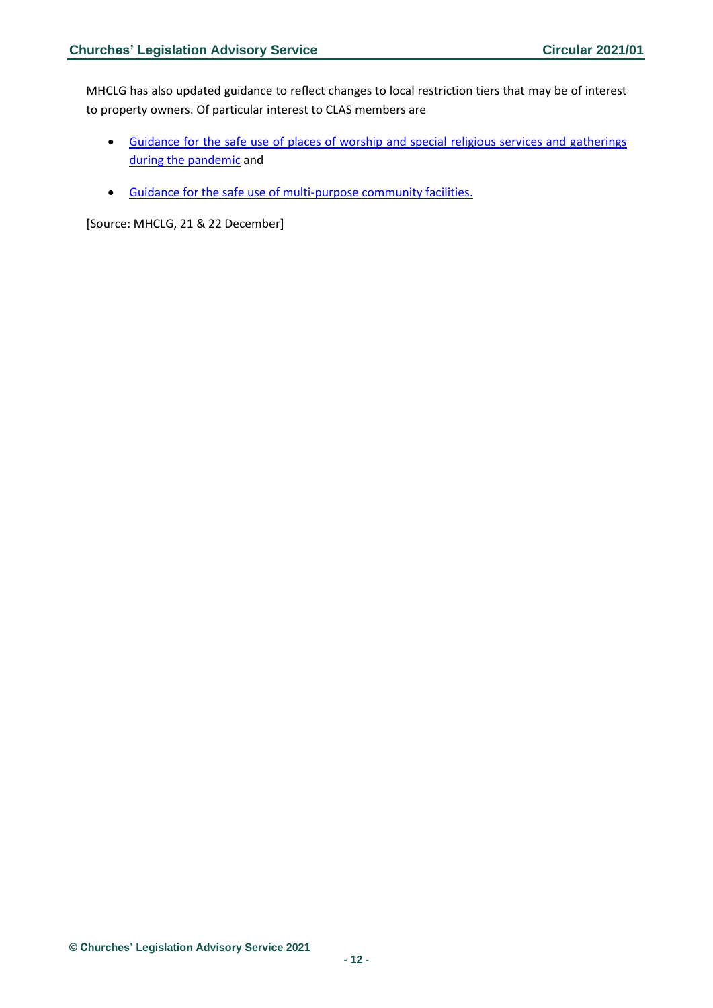MHCLG has also updated guidance to reflect changes to local restriction tiers that may be of interest to property owners. Of particular interest to CLAS members are

- [Guidance for the safe use of places of worship and special religious services and gatherings](https://www.gov.uk/government/publications/covid-19-guidance-for-the-safe-use-of-places-of-worship-during-the-pandemic-from-4-july/covid-19-guidance-for-the-safe-use-of-places-of-worship-from-2-december)  [during the pandemic](https://www.gov.uk/government/publications/covid-19-guidance-for-the-safe-use-of-places-of-worship-during-the-pandemic-from-4-july/covid-19-guidance-for-the-safe-use-of-places-of-worship-from-2-december) and
- [Guidance for the safe use of multi-purpose community facilities.](https://www.gov.uk/government/publications/covid-19-guidance-for-the-safe-use-of-multi-purpose-community-facilities/covid-19-guidance-for-the-safe-use-of-multi-purpose-community-facilities)

[Source: MHCLG, 21 & 22 December]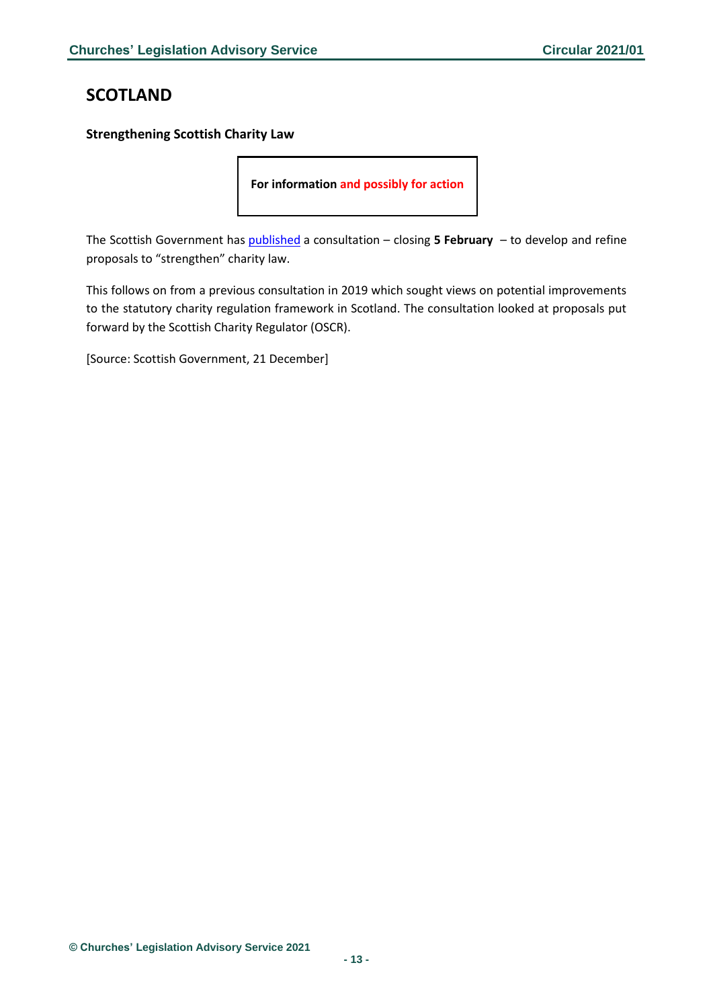# <span id="page-12-0"></span>**SCOTLAND**

# <span id="page-12-1"></span>**Strengthening Scottish Charity Law**

**For information and possibly for action**

The Scottish Government has [published](https://consult.gov.scot/local-government-and-communities/strengthening-scottish-charity-law/consult_view/) a consultation – closing **5 February** – to develop and refine proposals to "strengthen" charity law.

This follows on from a previous consultation in 2019 which sought views on potential improvements to the statutory charity regulation framework in Scotland. The consultation looked at proposals put forward by the Scottish Charity Regulator (OSCR).

[Source: Scottish Government, 21 December]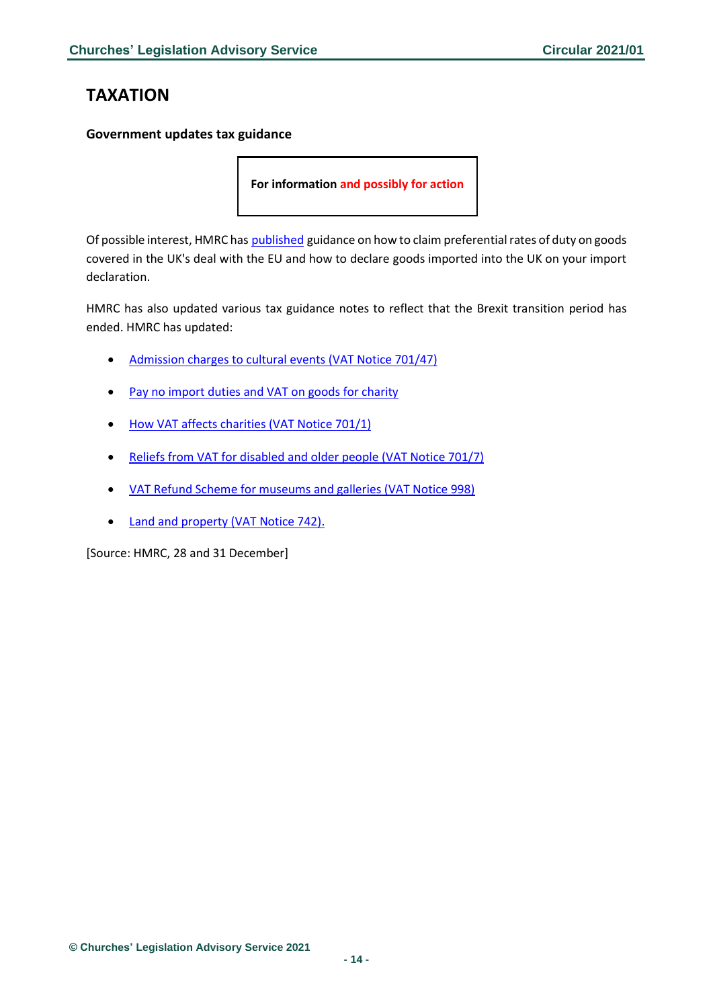# <span id="page-13-0"></span>**TAXATION**

### <span id="page-13-1"></span>**Government updates tax guidance**

**For information and possibly for action**

Of possible interest, HMRC has [published](https://www.gov.uk/guidance/claiming-preferential-rates-of-duty-between-the-uk-and-eu-from-1-january-2021?utm_source=db6b9722-8d65-497d-a8b6-f077a1d0f3a4&utm_medium=email&utm_campaign=govuk-notifications&utm_content=daily) guidance on how to claim preferential rates of duty on goods covered in the UK's deal with the EU and how to declare goods imported into the UK on your import declaration.

HMRC has also updated various tax guidance notes to reflect that the Brexit transition period has ended. HMRC has updated:

- [Admission charges to cultural events \(VAT Notice 701/47\)](https://www.gov.uk/guidance/admission-charges-to-cultural-events-and-vat-notice-70147?utm_source=3f5cb182-0d56-48de-ba2a-58bd8eda6119&utm_medium=email&utm_campaign=govuk-notifications&utm_content=daily#history)
- [Pay no import duties and VAT on goods for charity](https://www.gov.uk/guidance/pay-no-import-duties-and-vat-on-goods-for-charity?utm_source=9c8423b2-e46d-4ec9-b2f7-8e46df7877aa&utm_medium=email&utm_campaign=govuk-notifications&utm_content=daily#history)
- [How VAT affects charities \(VAT Notice 701/1\)](https://www.gov.uk/guidance/how-vat-affects-charities-notice-7011?utm_source=27c30afe-3c08-42c0-b143-13292f37ee00&utm_medium=email&utm_campaign=govuk-notifications&utm_content=daily#history)
- [Reliefs from VAT for disabled and older people \(VAT Notice 701/7\)](https://www.gov.uk/guidance/reliefs-from-vat-for-disabled-and-older-people-notice-7017?utm_source=abd7d895-9429-41f2-9c94-b05968137051&utm_medium=email&utm_campaign=govuk-notifications&utm_content=daily)
- [VAT Refund Scheme for museums and galleries \(VAT Notice 998\)](https://www.gov.uk/guidance/vat-refund-scheme-for-museums-and-galleries-notice-998?utm_source=f95bee07-037c-47f9-b4b2-ef519192e9ff&utm_medium=email&utm_campaign=govuk-notifications&utm_content=daily#history)
- [Land and property \(VAT Notice 742\).](https://www.gov.uk/guidance/vat-on-land-and-property-notice-742?utm_source=c57e91ae-47ac-4546-8f32-2857779e4e59&utm_medium=email&utm_campaign=govuk-notifications&utm_content=daily)

[Source: HMRC, 28 and 31 December]